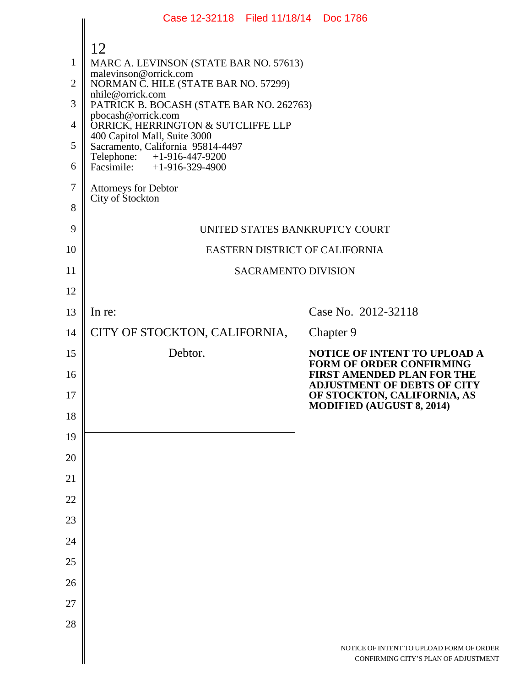|                                                                      | Case 12-32118 Filed 11/18/14 Doc 1786                                                                                                                                                                                                                                                                                                                                                                                           |                                                                                                        |
|----------------------------------------------------------------------|---------------------------------------------------------------------------------------------------------------------------------------------------------------------------------------------------------------------------------------------------------------------------------------------------------------------------------------------------------------------------------------------------------------------------------|--------------------------------------------------------------------------------------------------------|
| $\mathbf{1}$<br>$\overline{2}$<br>3<br>$\overline{4}$<br>5<br>6<br>7 | 12<br>MARC A. LEVINSON (STATE BAR NO. 57613)<br>malevinson@orrick.com<br>NORMAN C. HILE (STATE BAR NO. 57299)<br>nhile@orrick.com<br>PATRICK B. BOCASH (STATE BAR NO. 262763)<br>pbocash@orrick.com<br>ORRICK, HERRINGTON & SUTCLIFFE LLP<br>400 Capitol Mall, Suite 3000<br>Sacramento, California 95814-4497<br>Telephone: +1-916-447-9200<br>Facsimile: $+1-916-329-4900$<br><b>Attorneys for Debtor</b><br>City of Stockton |                                                                                                        |
| 8<br>9                                                               | UNITED STATES BANKRUPTCY COURT                                                                                                                                                                                                                                                                                                                                                                                                  |                                                                                                        |
| 10                                                                   | EASTERN DISTRICT OF CALIFORNIA                                                                                                                                                                                                                                                                                                                                                                                                  |                                                                                                        |
| 11                                                                   | <b>SACRAMENTO DIVISION</b>                                                                                                                                                                                                                                                                                                                                                                                                      |                                                                                                        |
| 12                                                                   |                                                                                                                                                                                                                                                                                                                                                                                                                                 |                                                                                                        |
| 13                                                                   | In re:                                                                                                                                                                                                                                                                                                                                                                                                                          | Case No. 2012-32118                                                                                    |
| 14                                                                   | CITY OF STOCKTON, CALIFORNIA,                                                                                                                                                                                                                                                                                                                                                                                                   | Chapter 9                                                                                              |
| 15                                                                   | Debtor.                                                                                                                                                                                                                                                                                                                                                                                                                         | NOTICE OF INTENT TO UPLOAD A<br><b>FORM OF ORDER CONFIRMING</b>                                        |
| 16<br>17                                                             |                                                                                                                                                                                                                                                                                                                                                                                                                                 | <b>FIRST AMENDED PLAN FOR THE</b><br><b>ADJUSTMENT OF DEBTS OF CITY</b><br>OF STOCKTON, CALIFORNIA, AS |
| 18                                                                   |                                                                                                                                                                                                                                                                                                                                                                                                                                 | <b>MODIFIED (AUGUST 8, 2014)</b>                                                                       |
| 19                                                                   |                                                                                                                                                                                                                                                                                                                                                                                                                                 |                                                                                                        |
| 20                                                                   |                                                                                                                                                                                                                                                                                                                                                                                                                                 |                                                                                                        |
| 21                                                                   |                                                                                                                                                                                                                                                                                                                                                                                                                                 |                                                                                                        |
| 22                                                                   |                                                                                                                                                                                                                                                                                                                                                                                                                                 |                                                                                                        |
| 23                                                                   |                                                                                                                                                                                                                                                                                                                                                                                                                                 |                                                                                                        |
| 24                                                                   |                                                                                                                                                                                                                                                                                                                                                                                                                                 |                                                                                                        |
| 25                                                                   |                                                                                                                                                                                                                                                                                                                                                                                                                                 |                                                                                                        |
| 26                                                                   |                                                                                                                                                                                                                                                                                                                                                                                                                                 |                                                                                                        |
| 27                                                                   |                                                                                                                                                                                                                                                                                                                                                                                                                                 |                                                                                                        |
| 28                                                                   |                                                                                                                                                                                                                                                                                                                                                                                                                                 |                                                                                                        |
|                                                                      |                                                                                                                                                                                                                                                                                                                                                                                                                                 | NOTICE OF INTENT TO UPLOAD FORM OF ORDER<br>CONFIRMING CITY'S PLAN OF ADJUSTMENT                       |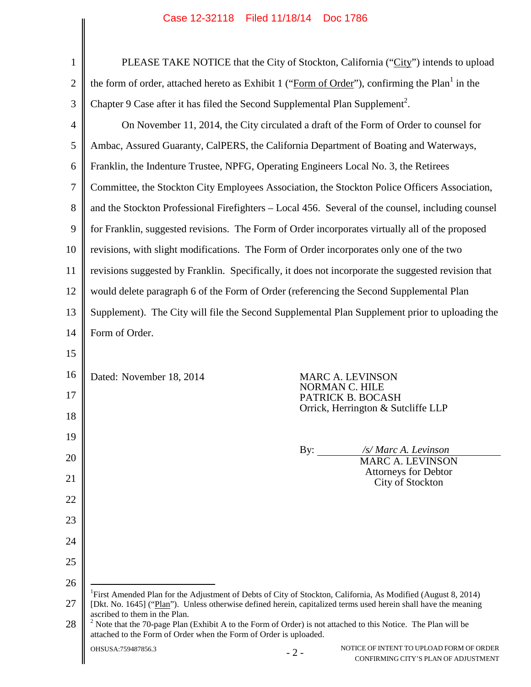|                | $\alpha$ 30 12-32110 1100 11110114 DUC 1100                                                                                                                                           |                                                                                                            |  |
|----------------|---------------------------------------------------------------------------------------------------------------------------------------------------------------------------------------|------------------------------------------------------------------------------------------------------------|--|
| $\mathbf{1}$   | PLEASE TAKE NOTICE that the City of Stockton, California ("City") intends to upload                                                                                                   |                                                                                                            |  |
| $\overline{2}$ |                                                                                                                                                                                       | the form of order, attached hereto as Exhibit 1 ("Form of Order"), confirming the Plan <sup>1</sup> in the |  |
| 3              | Chapter 9 Case after it has filed the Second Supplemental Plan Supplement <sup>2</sup> .                                                                                              |                                                                                                            |  |
| $\overline{4}$ |                                                                                                                                                                                       | On November 11, 2014, the City circulated a draft of the Form of Order to counsel for                      |  |
| 5              |                                                                                                                                                                                       | Ambac, Assured Guaranty, CalPERS, the California Department of Boating and Waterways,                      |  |
| 6              | Franklin, the Indenture Trustee, NPFG, Operating Engineers Local No. 3, the Retirees                                                                                                  |                                                                                                            |  |
| 7              |                                                                                                                                                                                       | Committee, the Stockton City Employees Association, the Stockton Police Officers Association,              |  |
| 8              | and the Stockton Professional Firefighters – Local 456. Several of the counsel, including counsel                                                                                     |                                                                                                            |  |
| 9              | for Franklin, suggested revisions. The Form of Order incorporates virtually all of the proposed                                                                                       |                                                                                                            |  |
| 10             |                                                                                                                                                                                       | revisions, with slight modifications. The Form of Order incorporates only one of the two                   |  |
| 11             | revisions suggested by Franklin. Specifically, it does not incorporate the suggested revision that                                                                                    |                                                                                                            |  |
| 12             |                                                                                                                                                                                       | would delete paragraph 6 of the Form of Order (referencing the Second Supplemental Plan                    |  |
| 13             | Supplement). The City will file the Second Supplemental Plan Supplement prior to uploading the                                                                                        |                                                                                                            |  |
| 14             | Form of Order.                                                                                                                                                                        |                                                                                                            |  |
| 15             |                                                                                                                                                                                       |                                                                                                            |  |
| 16             | Dated: November 18, 2014                                                                                                                                                              | <b>MARC A. LEVINSON</b>                                                                                    |  |
| 17             | NORMAN C. HILE                                                                                                                                                                        | PATRICK B. BOCASH                                                                                          |  |
| 18             |                                                                                                                                                                                       | Orrick, Herrington & Sutcliffe LLP                                                                         |  |
| 19             |                                                                                                                                                                                       |                                                                                                            |  |
| 20             | By: $\qquad$                                                                                                                                                                          | /s/ Marc A. Levinson<br><b>MARC A. LEVINSON</b>                                                            |  |
| 21             |                                                                                                                                                                                       | <b>Attorneys for Debtor</b><br>City of Stockton                                                            |  |
| 22             |                                                                                                                                                                                       |                                                                                                            |  |
| 23             |                                                                                                                                                                                       |                                                                                                            |  |
| 24             |                                                                                                                                                                                       |                                                                                                            |  |
| 25             |                                                                                                                                                                                       |                                                                                                            |  |
| 26             | <sup>1</sup> First Amended Plan for the Adjustment of Debts of City of Stockton, California, As Modified (August 8, 2014)                                                             |                                                                                                            |  |
| 27             | [Dkt. No. 1645] ("Plan"). Unless otherwise defined herein, capitalized terms used herein shall have the meaning<br>ascribed to them in the Plan.                                      |                                                                                                            |  |
| 28             | $2$ Note that the 70-page Plan (Exhibit A to the Form of Order) is not attached to this Notice. The Plan will be<br>attached to the Form of Order when the Form of Order is uploaded. |                                                                                                            |  |
|                | OHSUSA:759487856.3<br>$-2-$                                                                                                                                                           | NOTICE OF INTENT TO UPLOAD FORM OF ORDER<br>CONFIRMING CITY'S PLAN OF ADJUSTMENT                           |  |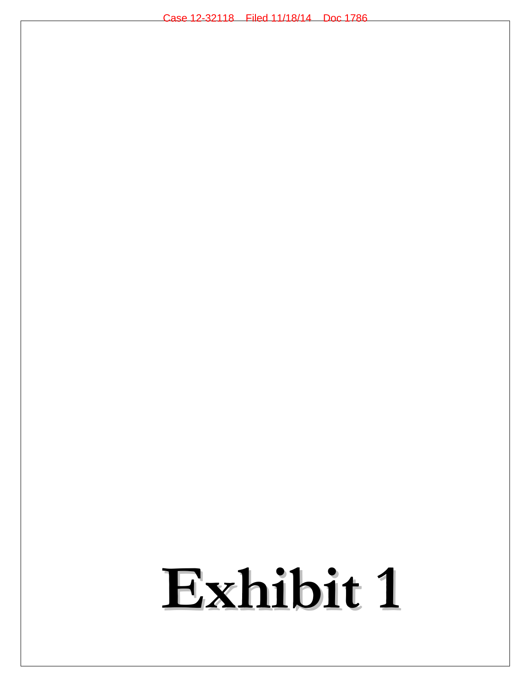# **Exhibit 1**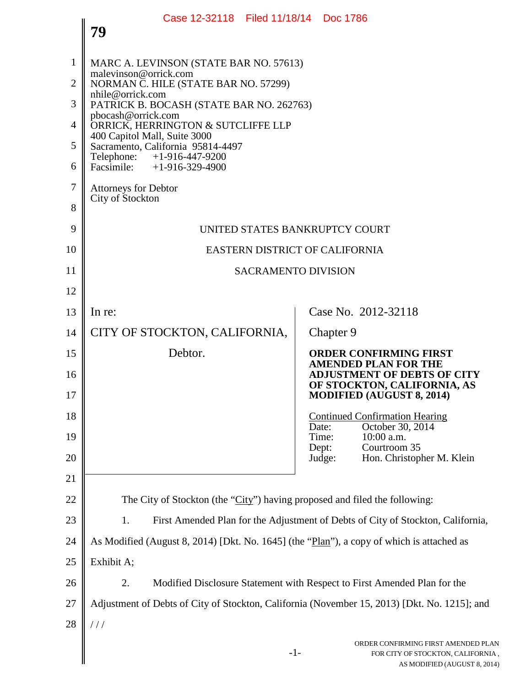|                | Case 12-32118 Filed 11/18/14 Doc 1786                                                        |                                                                                                                  |  |
|----------------|----------------------------------------------------------------------------------------------|------------------------------------------------------------------------------------------------------------------|--|
|                | 79                                                                                           |                                                                                                                  |  |
| $\mathbf{1}$   | MARC A. LEVINSON (STATE BAR NO. 57613)                                                       |                                                                                                                  |  |
| $\overline{2}$ | malevinson@orrick.com<br>NORMAN C. HILE (STATE BAR NO. 57299)                                |                                                                                                                  |  |
| 3              | nhile@orrick.com<br>PATRICK B. BOCASH (STATE BAR NO. 262763)                                 |                                                                                                                  |  |
| 4              | pbocash@orrick.com<br>ORRICK, HERRINGTON & SUTCLIFFE LLP<br>400 Capitol Mall, Suite 3000     |                                                                                                                  |  |
| 5              | Sacramento, California 95814-4497<br>Telephone: +1-916-447-9200                              |                                                                                                                  |  |
| 6              | Facsimile: +1-916-329-4900                                                                   |                                                                                                                  |  |
| 7              | <b>Attorneys for Debtor</b><br>City of Stockton                                              |                                                                                                                  |  |
| 8              |                                                                                              |                                                                                                                  |  |
| 9              | UNITED STATES BANKRUPTCY COURT                                                               |                                                                                                                  |  |
| 10             | EASTERN DISTRICT OF CALIFORNIA                                                               |                                                                                                                  |  |
| 11             | <b>SACRAMENTO DIVISION</b>                                                                   |                                                                                                                  |  |
| 12             |                                                                                              |                                                                                                                  |  |
| 13             | In re:                                                                                       | Case No. 2012-32118                                                                                              |  |
| 14             | CITY OF STOCKTON, CALIFORNIA,                                                                | Chapter 9                                                                                                        |  |
| 15             | Debtor.                                                                                      | <b>ORDER CONFIRMING FIRST</b><br><b>AMENDED PLAN FOR THE</b>                                                     |  |
| 16<br>17       |                                                                                              | <b>ADJUSTMENT OF DEBTS OF CITY</b><br>OF STOCKTON, CALIFORNIA, AS<br><b>MODIFIED (AUGUST 8, 2014)</b>            |  |
| 18             |                                                                                              | <b>Continued Confirmation Hearing</b>                                                                            |  |
| 19             |                                                                                              | October 30, 2014<br>Date:<br>10:00 a.m.<br>Time:                                                                 |  |
| 20             |                                                                                              | Courtroom 35<br>Dept:<br>Hon. Christopher M. Klein<br>Judge:                                                     |  |
| 21             |                                                                                              |                                                                                                                  |  |
| 22             | The City of Stockton (the "City") having proposed and filed the following:                   |                                                                                                                  |  |
| 23             | 1.<br>First Amended Plan for the Adjustment of Debts of City of Stockton, California,        |                                                                                                                  |  |
| 24             | As Modified (August 8, 2014) [Dkt. No. 1645] (the "Plan"), a copy of which is attached as    |                                                                                                                  |  |
| 25             | Exhibit A;                                                                                   |                                                                                                                  |  |
| 26             | 2.<br>Modified Disclosure Statement with Respect to First Amended Plan for the               |                                                                                                                  |  |
| 27             | Adjustment of Debts of City of Stockton, California (November 15, 2013) [Dkt. No. 1215]; and |                                                                                                                  |  |
| 28             | 111                                                                                          |                                                                                                                  |  |
|                |                                                                                              | ORDER CONFIRMING FIRST AMENDED PLAN<br>$-1-$<br>FOR CITY OF STOCKTON, CALIFORNIA,<br>AS MODIFIED (AUGUST 8 2014) |  |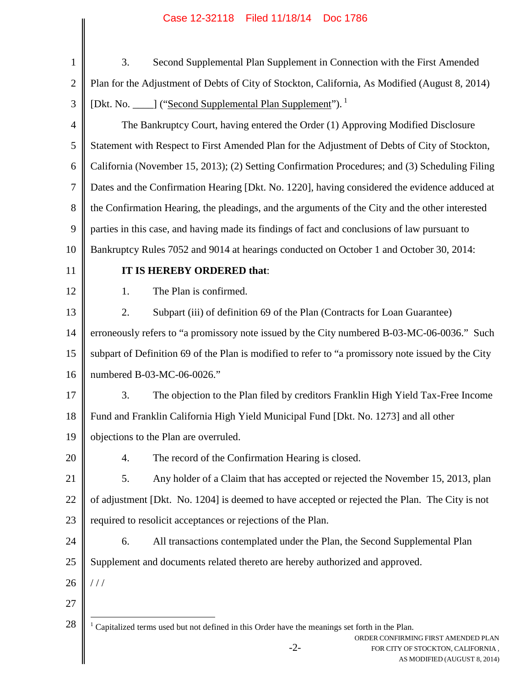| $\mathbf{1}$   | 3.<br>Second Supplemental Plan Supplement in Connection with the First Amended                                                                                                                                         |  |
|----------------|------------------------------------------------------------------------------------------------------------------------------------------------------------------------------------------------------------------------|--|
| $\overline{2}$ | Plan for the Adjustment of Debts of City of Stockton, California, As Modified (August 8, 2014)                                                                                                                         |  |
| 3              | [Dkt. No. ____] ("Second Supplemental Plan Supplement").                                                                                                                                                               |  |
| 4              | The Bankruptcy Court, having entered the Order (1) Approving Modified Disclosure                                                                                                                                       |  |
| 5              | Statement with Respect to First Amended Plan for the Adjustment of Debts of City of Stockton,                                                                                                                          |  |
| 6              | California (November 15, 2013); (2) Setting Confirmation Procedures; and (3) Scheduling Filing                                                                                                                         |  |
| 7              | Dates and the Confirmation Hearing [Dkt. No. 1220], having considered the evidence adduced at                                                                                                                          |  |
| 8              | the Confirmation Hearing, the pleadings, and the arguments of the City and the other interested                                                                                                                        |  |
| 9              | parties in this case, and having made its findings of fact and conclusions of law pursuant to                                                                                                                          |  |
| 10             | Bankruptcy Rules 7052 and 9014 at hearings conducted on October 1 and October 30, 2014:                                                                                                                                |  |
| 11             | IT IS HEREBY ORDERED that:                                                                                                                                                                                             |  |
| 12             | The Plan is confirmed.<br>1.                                                                                                                                                                                           |  |
| 13             | 2.<br>Subpart (iii) of definition 69 of the Plan (Contracts for Loan Guarantee)                                                                                                                                        |  |
| 14             | erroneously refers to "a promissory note issued by the City numbered B-03-MC-06-0036." Such                                                                                                                            |  |
| 15             | subpart of Definition 69 of the Plan is modified to refer to "a promissory note issued by the City                                                                                                                     |  |
| 16             | numbered B-03-MC-06-0026."                                                                                                                                                                                             |  |
| 17             | 3.<br>The objection to the Plan filed by creditors Franklin High Yield Tax-Free Income                                                                                                                                 |  |
| 18             | Fund and Franklin California High Yield Municipal Fund [Dkt. No. 1273] and all other                                                                                                                                   |  |
| 19             | objections to the Plan are overruled.                                                                                                                                                                                  |  |
| 20             | The record of the Confirmation Hearing is closed.<br>4.                                                                                                                                                                |  |
| 21             | Any holder of a Claim that has accepted or rejected the November 15, 2013, plan<br>5.                                                                                                                                  |  |
| 22             | of adjustment [Dkt. No. 1204] is deemed to have accepted or rejected the Plan. The City is not                                                                                                                         |  |
| 23             | required to resolicit acceptances or rejections of the Plan.                                                                                                                                                           |  |
| 24             | All transactions contemplated under the Plan, the Second Supplemental Plan<br>6.                                                                                                                                       |  |
| 25             | Supplement and documents related thereto are hereby authorized and approved.                                                                                                                                           |  |
| 26             | //                                                                                                                                                                                                                     |  |
| 27             |                                                                                                                                                                                                                        |  |
| 28             | $1$ Capitalized terms used but not defined in this Order have the meanings set forth in the Plan.<br>ORDER CONFIRMING FIRST AMENDED PLAN<br>$-2-$<br>FOR CITY OF STOCKTON, CALIFORNIA,<br>AS MODIFIED (AUGUST 8, 2014) |  |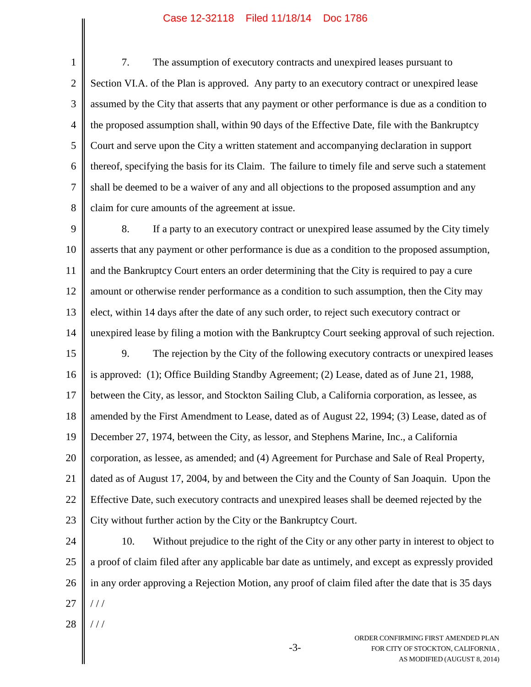1 2 3 4 5 6 7 8 7. The assumption of executory contracts and unexpired leases pursuant to Section VI.A. of the Plan is approved. Any party to an executory contract or unexpired lease assumed by the City that asserts that any payment or other performance is due as a condition to the proposed assumption shall, within 90 days of the Effective Date, file with the Bankruptcy Court and serve upon the City a written statement and accompanying declaration in support thereof, specifying the basis for its Claim. The failure to timely file and serve such a statement shall be deemed to be a waiver of any and all objections to the proposed assumption and any claim for cure amounts of the agreement at issue.

9 10 11 12 13 14 15 16 17 18 19 20 21 22 23 8. If a party to an executory contract or unexpired lease assumed by the City timely asserts that any payment or other performance is due as a condition to the proposed assumption, and the Bankruptcy Court enters an order determining that the City is required to pay a cure amount or otherwise render performance as a condition to such assumption, then the City may elect, within 14 days after the date of any such order, to reject such executory contract or unexpired lease by filing a motion with the Bankruptcy Court seeking approval of such rejection. 9. The rejection by the City of the following executory contracts or unexpired leases is approved: (1); Office Building Standby Agreement; (2) Lease, dated as of June 21, 1988, between the City, as lessor, and Stockton Sailing Club, a California corporation, as lessee, as amended by the First Amendment to Lease, dated as of August 22, 1994; (3) Lease, dated as of December 27, 1974, between the City, as lessor, and Stephens Marine, Inc., a California corporation, as lessee, as amended; and (4) Agreement for Purchase and Sale of Real Property, dated as of August 17, 2004, by and between the City and the County of San Joaquin. Upon the Effective Date, such executory contracts and unexpired leases shall be deemed rejected by the City without further action by the City or the Bankruptcy Court.

24 25 26 27 10. Without prejudice to the right of the City or any other party in interest to object to a proof of claim filed after any applicable bar date as untimely, and except as expressly provided in any order approving a Rejection Motion, any proof of claim filed after the date that is 35 days / / /

28 / / /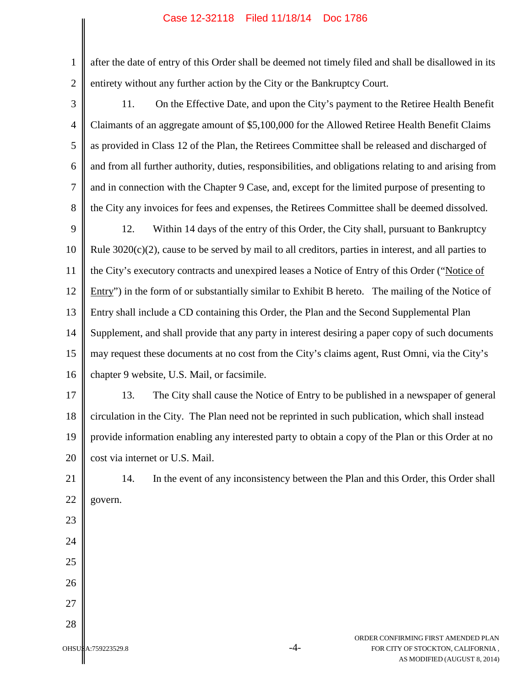1 2 after the date of entry of this Order shall be deemed not timely filed and shall be disallowed in its entirety without any further action by the City or the Bankruptcy Court.

3

4 5 6 7 8 11. On the Effective Date, and upon the City's payment to the Retiree Health Benefit Claimants of an aggregate amount of \$5,100,000 for the Allowed Retiree Health Benefit Claims as provided in Class 12 of the Plan, the Retirees Committee shall be released and discharged of and from all further authority, duties, responsibilities, and obligations relating to and arising from and in connection with the Chapter 9 Case, and, except for the limited purpose of presenting to the City any invoices for fees and expenses, the Retirees Committee shall be deemed dissolved.

9 10 11 12 13 14 15 16 12. Within 14 days of the entry of this Order, the City shall, pursuant to Bankruptcy Rule  $3020(c)(2)$ , cause to be served by mail to all creditors, parties in interest, and all parties to the City's executory contracts and unexpired leases a Notice of Entry of this Order ("Notice of Entry") in the form of or substantially similar to Exhibit B hereto. The mailing of the Notice of Entry shall include a CD containing this Order, the Plan and the Second Supplemental Plan Supplement, and shall provide that any party in interest desiring a paper copy of such documents may request these documents at no cost from the City's claims agent, Rust Omni, via the City's chapter 9 website, U.S. Mail, or facsimile.

17 18 19 20 13. The City shall cause the Notice of Entry to be published in a newspaper of general circulation in the City. The Plan need not be reprinted in such publication, which shall instead provide information enabling any interested party to obtain a copy of the Plan or this Order at no cost via internet or U.S. Mail.

21

22

23

24

25

26

27

28

14. In the event of any inconsistency between the Plan and this Order, this Order shall govern.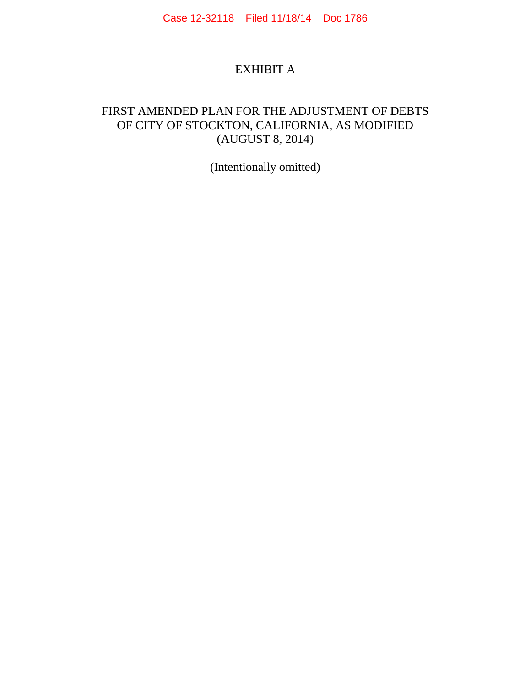## EXHIBIT A

## FIRST AMENDED PLAN FOR THE ADJUSTMENT OF DEBTS OF CITY OF STOCKTON, CALIFORNIA, AS MODIFIED (AUGUST 8, 2014)

(Intentionally omitted)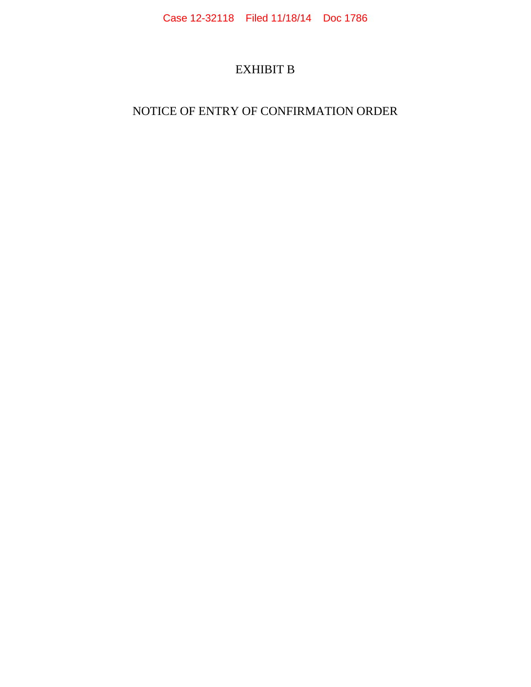# EXHIBIT B

## NOTICE OF ENTRY OF CONFIRMATION ORDER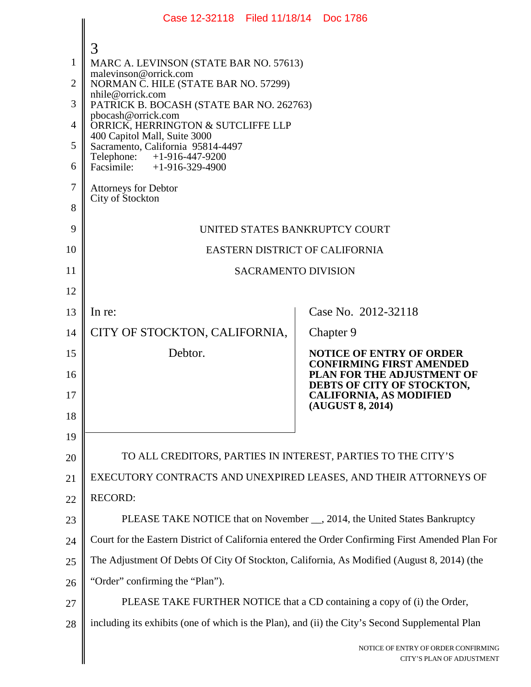|                | Case 12-32118 Filed 11/18/14 Doc 1786                                                            |                                                                    |
|----------------|--------------------------------------------------------------------------------------------------|--------------------------------------------------------------------|
|                | 3                                                                                                |                                                                    |
| $\mathbf{1}$   | MARC A. LEVINSON (STATE BAR NO. 57613)                                                           |                                                                    |
| $\overline{2}$ | malevinson@orrick.com<br>NORMAN C. HILE (STATE BAR NO. 57299)                                    |                                                                    |
| 3              | nhile@orrick.com<br>PATRICK B. BOCASH (STATE BAR NO. 262763)                                     |                                                                    |
| 4              | pbocash@orrick.com<br>ORRICK, HERRINGTON & SUTCLIFFE LLP                                         |                                                                    |
| 5              | 400 Capitol Mall, Suite 3000<br>Sacramento, California 95814-4497                                |                                                                    |
| 6              | Telephone: +1-916-447-9200<br>Facsimile: $+1-916-329-4900$                                       |                                                                    |
| $\tau$         | <b>Attorneys for Debtor</b>                                                                      |                                                                    |
| 8              | City of Stockton                                                                                 |                                                                    |
| 9              | UNITED STATES BANKRUPTCY COURT                                                                   |                                                                    |
| 10             | EASTERN DISTRICT OF CALIFORNIA                                                                   |                                                                    |
| 11             | <b>SACRAMENTO DIVISION</b>                                                                       |                                                                    |
| 12             |                                                                                                  |                                                                    |
| 13             | In re:                                                                                           | Case No. 2012-32118                                                |
| 14             | CITY OF STOCKTON, CALIFORNIA,                                                                    | Chapter 9                                                          |
| 15             | Debtor.                                                                                          | <b>NOTICE OF ENTRY OF ORDER</b><br><b>CONFIRMING FIRST AMENDED</b> |
| 16             |                                                                                                  | PLAN FOR THE ADJUSTMENT OF<br>DEBTS OF CITY OF STOCKTON,           |
| 17             |                                                                                                  | <b>CALIFORNIA, AS MODIFIED</b><br>(AUGUST 8, 2014)                 |
| 18             |                                                                                                  |                                                                    |
| 19             |                                                                                                  |                                                                    |
| 20             | TO ALL CREDITORS, PARTIES IN INTEREST, PARTIES TO THE CITY'S                                     |                                                                    |
| 21             | EXECUTORY CONTRACTS AND UNEXPIRED LEASES, AND THEIR ATTORNEYS OF                                 |                                                                    |
| 22             | <b>RECORD:</b>                                                                                   |                                                                    |
| 23             | PLEASE TAKE NOTICE that on November __, 2014, the United States Bankruptcy                       |                                                                    |
| 24             | Court for the Eastern District of California entered the Order Confirming First Amended Plan For |                                                                    |
| 25             | The Adjustment Of Debts Of City Of Stockton, California, As Modified (August 8, 2014) (the       |                                                                    |
| 26             | "Order" confirming the "Plan").                                                                  |                                                                    |
| 27             | PLEASE TAKE FURTHER NOTICE that a CD containing a copy of (i) the Order,                         |                                                                    |
| 28             | including its exhibits (one of which is the Plan), and (ii) the City's Second Supplemental Plan  |                                                                    |
|                |                                                                                                  | NOTICE OF ENTRY OF ORDER CONFIRMING<br>CITY'S PLAN OF ADJUSTMENT   |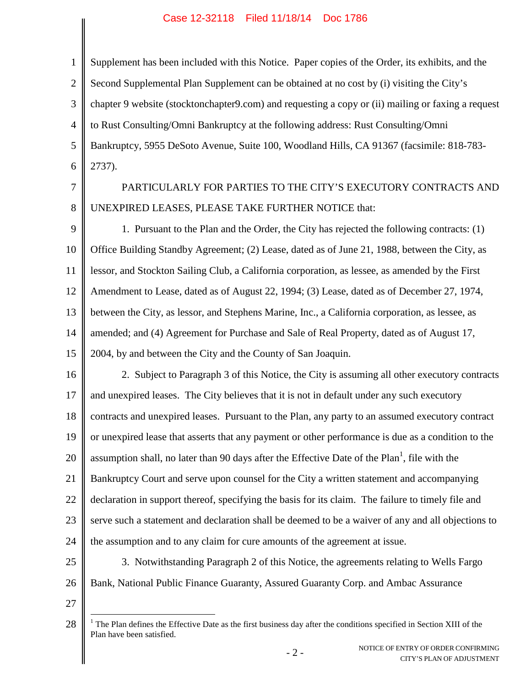| $\mathbf{I}$   | Supplement has been included with this Notice. Paper copies of the Order, its exhibits, and the     |
|----------------|-----------------------------------------------------------------------------------------------------|
| $\overline{2}$ | Second Supplemental Plan Supplement can be obtained at no cost by (i) visiting the City's           |
| 3              | chapter 9 website (stocktonchapter 9.com) and requesting a copy or (ii) mailing or faxing a request |
| 4              | to Rust Consulting/Omni Bankruptcy at the following address: Rust Consulting/Omni                   |
| 5              | Bankruptcy, 5955 DeSoto Avenue, Suite 100, Woodland Hills, CA 91367 (facsimile: 818-783-            |
| 6              | 2737).                                                                                              |
| 7              | PARTICULARLY FOR PARTIES TO THE CITY'S EXECUTORY CONTRACTS AND                                      |
| 8              | UNEXPIRED LEASES, PLEASE TAKE FURTHER NOTICE that:                                                  |
| 9              | 1. Pursuant to the Plan and the Order, the City has rejected the following contracts: (1)           |
| 10             | Office Building Standby Agreement; (2) Lease, dated as of June 21, 1988, between the City, as       |
|                |                                                                                                     |

11 12 13 14 15 lessor, and Stockton Sailing Club, a California corporation, as lessee, as amended by the First Amendment to Lease, dated as of August 22, 1994; (3) Lease, dated as of December 27, 1974, between the City, as lessor, and Stephens Marine, Inc., a California corporation, as lessee, as amended; and (4) Agreement for Purchase and Sale of Real Property, dated as of August 17, 2004, by and between the City and the County of San Joaquin.

16 17 18 19 20 21 22 23 24 25 2. Subject to Paragraph 3 of this Notice, the City is assuming all other executory contracts and unexpired leases. The City believes that it is not in default under any such executory contracts and unexpired leases. Pursuant to the Plan, any party to an assumed executory contract or unexpired lease that asserts that any payment or other performance is due as a condition to the assumption shall, no later than 90 days after the Effective Date of the Plan<sup>1</sup>, file with the Bankruptcy Court and serve upon counsel for the City a written statement and accompanying declaration in support thereof, specifying the basis for its claim. The failure to timely file and serve such a statement and declaration shall be deemed to be a waiver of any and all objections to the assumption and to any claim for cure amounts of the agreement at issue. 3. Notwithstanding Paragraph 2 of this Notice, the agreements relating to Wells Fargo

26

27

Bank, National Public Finance Guaranty, Assured Guaranty Corp. and Ambac Assurance

<sup>28</sup> <sup>1</sup> The Plan defines the Effective Date as the first business day after the conditions specified in Section XIII of the Plan have been satisfied.